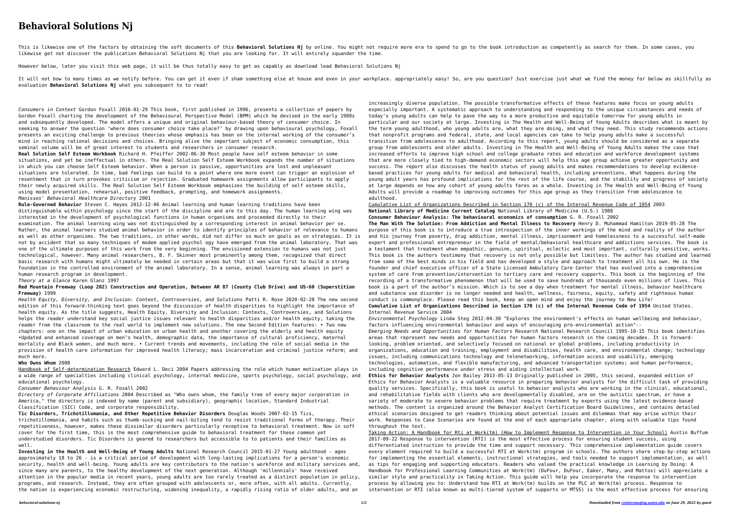## **Behavioral Solutions Nj**

This is likewise one of the factors by obtaining the soft documents of this Behavioral Solutions Nj by online. You might not require more era to spend to go to the book introduction as competently as search for them. In so likewise get not discover the publication Behavioral Solutions Nj that you are looking for. It will entirely squander the time.

It will not bow to many times as we notify before. You can get it even if sham something else at house and even in your workplace. appropriately easy! So, are you question? Just exercise just what we find the money for bel evaluation **Behavioral Solutions Nj** what you subsequent to to read!

However below, later you visit this web page, it will be thus totally easy to get as capably as download lead Behavioral Solutions Nj

*Consumers in Context* Gordon Foxall 2016-01-29 This book, first published in 1996, presents a collection of papers by Gordon Foxall charting the development of the Behavioural Perspective Model (BPM) which he devised in the early 1980s and subsequently developed. The model offers a unique and original behaviour-based theory of consumer choice. In seeking to answer the question 'where does consumer choice take place?' by drawing upon behavioural psychology, Foxall presents an exciting challenge to previous theories whose emphasis has been on the internal working of the consumer's mind in reaching rational decisions and choices. Bringing alive the important subject of economic consumption, this seminal volume will be of great interest to students and researchers in consumer research.

**Real Solution Self Esteem Workbook** Richard H. Pfeiffer 2002-06-30 Most people have self esteem behavior in some situations, and yet be ineffectual in others. The Real Solution Self Esteem Workbook expands the number of situations in which you can choose Self Esteem behavior. When a person is passive, opportunities are lost and unpleasant situations are tolerated. In time, bad feelings can build to a point where one more event can trigger an explosion of resentment that in turn provokes criticism or rejection. Graduated homework assignments allow participants to apply their newly acquired skills. The Real Solution Self Esteem Workbook emphasizes the building of self esteem skills, using model presentation, rehearsal, positive feedback, prompting, and homework assignments. *Manisses' Behavioral Healthcare Directory* 2001

Handbook of Self-determination Research Edward L. Deci 2004 Papers addressing the role which human motivation plays in a wide range of specialties including clinical psychology, internal medicine, sports psychology, social psychology, and educational psychology.

**Rule-Governed Behavior** Steven C. Hayes 2012-12-06 Animal learning and human learning traditions have been distinguishable within psychology since the start of the discipline and are to this day. The human learning wing was interested in the development of psychological functions in human organisms and proceeded directly to their examination. The animal learning wing was not distinguished by a corresponding interest in animal behavior per se. Rather, the animal learners studied animal behavior in order to identify principles of behavior of relevance to humans as well as other organisms. The two traditions, in other words, did not differ so much on goals as on strategies. It is not by accident that so many techniques of modem applied psychol ogy have emerged from the animal laboratory. That was one of the ultimate purposes of this work from the very beginning. The envisioned extension to humans was not just technological, however. Many animal researchers, B. F. Skinner most prominently among them, recognized that direct basic research with humans might ultimately be needed in certain areas but that it was wise first to build a strong foundation in the controlled environment of the animal laboratory. In a sense, animal learning was always in part a human research program in development.

*Theory at a Glance* Karen Glanz 1997

**Red Mountain Freeway (Loop 202) Construction and Operation, Between AR 87 (County Club Drive) and US-60 (Superstition Freeway)** 1999

*Health Equity, Diversity, and Inclusion: Context, Controversies, and Solutions* Patti R. Rose 2020-02-28 The new second edition of this forward-thinking text goes beyond the discussion of health disparities to highlight the importance of health equity. As the title suggests, Health Equity, Diversity and Inclusion: Contexts, Controversies, and Solutions helps the reader understand key social justice issues relevant to health disparities and/or health equity, taking the reader from the classroom to the real world to implement new solutions. The new Second Edition features: • Two new chapters: one on the impact of urban education on urban health and another covering the elderly and health equity •Updated and enhanced coverage on men's health, demographic data, the importance of cultural proficiency, maternal mortality and Black women, and much more. • Current trends and movements, including the role of social media in the provision of health care information for improved health literacy; mass incarceration and criminal justice reform; and much more.

## **Who Owns Whom** 2008

*Consumer Behaviour Analysis* G. R. Foxall 2002

*Directory of Corporate Affiliations* 2004 Described as "Who owns whom, the family tree of every major corporation in America," the directory is indexed by name (parent and subsidiary), geographic location, Standard Industrial Classification (SIC) Code, and corporate responsibility.

**Tic Disorders, Trichotillomania, and Other Repetitive Behavior Disorders** Douglas Woods 2007-02-15 Tics,

trichotillomania, and habits such as thumb-sucking and nail-biting tend to resist traditional forms of therapy. Their repetitiveness, however, makes these dissimilar disorders particularly receptive to behavioral treatment. Now in soft cover for the first time, this is the most comprehensive guide to behavioral treatment for these common yet understudied disorders. Tic Disorders is geared to researchers but accessible to to patients and their families as well.

**Investing in the Health and Well-Being of Young Adults** National Research Council 2015-01-27 Young adulthood - ages approximately 18 to 26 - is a critical period of development with long-lasting implications for a person's economic security, health and well-being. Young adults are key contributors to the nation's workforce and military services and, since many are parents, to the healthy development of the next generation. Although 'millennials' have received attention in the popular media in recent years, young adults are too rarely treated as a distinct population in policy, programs, and research. Instead, they are often grouped with adolescents or, more often, with all adults. Currently, the nation is experiencing economic restructuring, widening inequality, a rapidly rising ratio of older adults, and an

increasingly diverse population. The possible transformative effects of these features make focus on young adults especially important. A systematic approach to understanding and responding to the unique circumstances and needs of today's young adults can help to pave the way to a more productive and equitable tomorrow for young adults in particular and our society at large. Investing in The Health and Well-Being of Young Adults describes what is meant by the term young adulthood, who young adults are, what they are doing, and what they need. This study recommends actions that nonprofit programs and federal, state, and local agencies can take to help young adults make a successful transition from adolescence to adulthood. According to this report, young adults should be considered as a separate group from adolescents and older adults. Investing in The Health and Well-Being of Young Adults makes the case that increased efforts to improve high school and college graduate rates and education and workforce development systems that are more closely tied to high-demand economic sectors will help this age group achieve greater opportunity and success. The report also discusses the health status of young adults and makes recommendations to develop evidencebased practices for young adults for medical and behavioral health, including preventions. What happens during the young adult years has profound implications for the rest of the life course, and the stability and progress of society at large depends on how any cohort of young adults fares as a whole. Investing in The Health and Well-Being of Young Adults will provide a roadmap to improving outcomes for this age group as they transition from adolescence to

adulthood.

Cumulative List of Organizations Described in Section 170 (c) of the Internal Revenue Code of 1954 2003 **National Library of Medicine Current Catalog** National Library of Medicine (U.S.) 1988

**Consumer Behaviour Analysis: The behavioural economics of consumption** G. R. Foxall 2002

**The Man With The Solution: From Addiction and Mental Illness to Recovery** Henry D. Muhammad Hamilton 2019-05-28 The purpose of this book is to introduce a true introspection of the inner workings of the mind and reality of the author and his journey from poverty, drug addiction, mental illness, imprisonment and homelessness to a successful self-made expert and professional entrepreneur in the field of mental/behavioral healthcare and addictions services. The book is a testament that treatment when empathic, genuine, spiritual, eclectic and most important, culturally sensitive, works. This book is the authors testimony that recovery is not only possible but limitless. The author has studied and learned from some of the best minds in his field and has developed a style and approach to treatment all his own. He is the founder and chief executive officer of a State Licensed Ambulatory Care Center that has evolved into a comprehensive system of care from prevention/intervention to tertiary care and recovery supports. This book is the beginning of the recording of a transformative phenomenon that will be used to save hundreds of thousands even millions of lives. This book is a part of the author's mission. Which is to see a day when treatment for mental illness, behavior healthcare and substance use disorder is no longer needed and health, wellness, fairness, equity, safety and righteous human conduct is commonplace. Please read this book, keep an open mind and enjoy the journey to New Life! **Cumulative List of Organizations Described in Section 170 (c) of the Internal Revenue Code of 1954** United States. Internal Revenue Service 2004

*Environmental Psychology* Linda Steg 2012-04-30 "Explores the environment's effects on human wellbeing and behaviour, factors influencing environmental behaviour and ways of encouraging pro-environmental action"--

*Emerging Needs and Opportunities for Human Factors Research* National Research Council 1995-10-15 This book identifies areas that represent new needs and opportunities for human factors research in the coming decades. It is forwardlooking, problem oriented, and selectively focused on national or global problems, including productivity in organizations, education and training, employment and disabilities, health care, and environmental change; technology issues, including communications technology and telenetworking, information access and usability, emerging technologies, automation, and flexible manufacturing, and advanced transportation systems; and human performance, including cognitive performance under stress and aiding intellectual work.

**Ethics for Behavior Analysts** Jon Bailey 2013-05-13 Originally published in 2005, this second, expanded edition of Ethics for Behavior Analysts is a valuable resource in preparing behavior analysts for the difficult task of providing quality services. Specifically, this book is useful to behavior analysts who are working in the clinical, educational, and rehabilitative fields with clients who are developmentally disabled, are on the autistic spectrum, or have a variety of moderate to severe behavior problems that require treatment by experts using the latest evidence-based

methods. The content is organized around the Behavior Analyst Certification Board Guidelines, and contains detailed ethical scenarios designed to get readers thinking about potential issues and dilemmas that may arise within their work. Responses to Case Scenarios are found at the end of each appropriate chapter, along with valuable tips found throughout the text.

Taking Action: A Handbook for Rti at Work(tm) (How to Implement Response to Intervention in Your School) Austin Buffum 2017-09-22 Response to intervention (RTI) is the most effective process for ensuring student success, using differentiated instruction to provide the time and support necessary. This comprehensive implementation guide covers every element required to build a successful RTI at Work(tm) program in schools. The authors share step-by-step actions for implementing the essential elements, instructional strategies, and tools needed to support implementation, as well as tips for engaging and supporting educators. Readers who valued the practical knowledge in Learning by Doing: A Handbook for Professional Learning Communities at Work(tm) (DuFour, DuFour, Eaker, Many, and Mattos) will appreciate a similar style and practicality in Taking Action. This guide will help you incorporate the response to intervention process by allowing you to: Understand how RTI at Work(tm) builds on the PLC at Work(tm) process. Response to intervention or RTI (also known as multi-tiered system of supports or MTSS) is the most effective process for ensuring